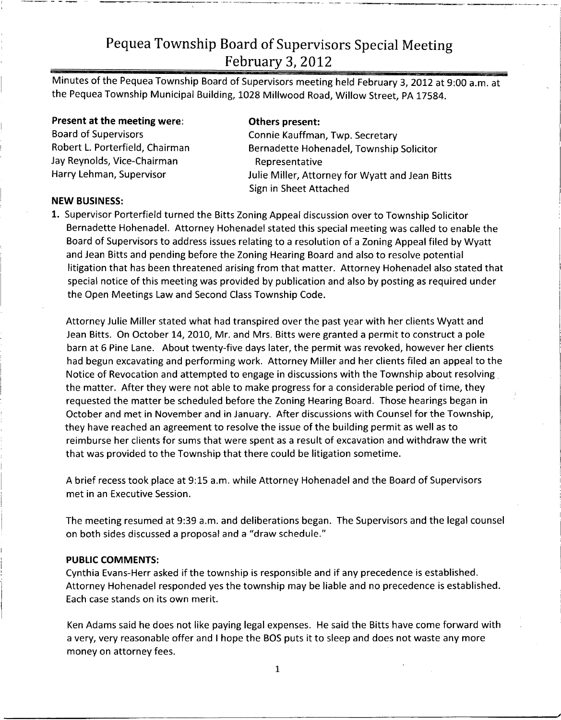# Pequea Township Board of Supervisors Special Meeting February 3, 2012

Minutes of the Pequea Township Board of Supervisors meeting held February 3, 2012 at 9:00 a.m. at the Pequea Township Municipal Building, 1028 Millwood Road, Willow Street, PA 17584.

Present at the meeting were: Others present: Jay Reynolds, Vice-Chairman Frank Representative<br>Harry Lehman, Supervisor Frank Representative

Board of Supervisors<br>Robert L. Porterfield, Chairman and Bernadette Hohenadel. Township Bernadette Hohenadel, Township Solicitor Julie Miller, Attorney for Wyatt and Jean Bitts Sign in Sheet Attached

## NEW BUSINESS:

1. Supervisor Porterfield turned the Bitts Zoning Appeal discussion over to Township Solicitor Bernadette Hohenadel. Attorney Hohenadel stated this special meeting was called to enable the Board of Supervisors to address issues relating to <sup>a</sup> resolution of <sup>a</sup> Zoning Appeal filed by Wyatt and Jean Bitts and pending before the Zoning Hearing Board and also to resolve potential litigation that has been threatened arising from that matter. Attorney Hohenadel also stated that special notice of this meeting was provided by publication and also by posting as required under the Open Meetings Law and Second Class Township Code.

Attorney Julie Miller stated what had transpired over the past year with her clients Wyatt and Jean Bitts. On October 14, 2010, Mr. and Mrs. Bitts were granted <sup>a</sup> permit to construct <sup>a</sup> pole barn at <sup>6</sup> Pine Lane. About twenty -five days later, the permit was revoked, however her clients had begun excavating and performing work. Attorney Miller and her clients filed an appeal to the Notice of Revocation and attempted to engage in discussions with the Township about resolving the matter. After they were not able to make progress for <sup>a</sup> considerable period of time, they requested the matter be scheduled before the Zoning Hearing Board. Those hearings began in October and met in November and in January. After discussions with Counsel for the Township, they have reached an agreement to resolve the issue of the building permit as well as to reimburse her clients for sums that were spent as <sup>a</sup> result of excavation and withdraw the writ that was provided to the Township that there could be litigation sometime.

<sup>A</sup> brief recess took place at 9:15 a.m. while Attorney Hohenadel and the Board of Supervisors met in an Executive Session.

The meeting resumed at 9:39 a.m. and deliberations began. The Supervisors and the legal counsel on both sides discussed <sup>a</sup> proposal and a "draw schedule."

## PUBLIC COMMENTS:

Cynthia Evans -Herr asked if the township is responsible and if any precedence is established. Attorney Hohenadel responded yes the township may be liable and no precedence is established. Each case stands on its own merit.

Ken Adams said he does not like paying legal expenses. He said the Bitts have come forward with <sup>a</sup> very, very reasonable offer and <sup>I</sup> hope the BOS puts it to sleep and does not waste any more money on attorney fees.

1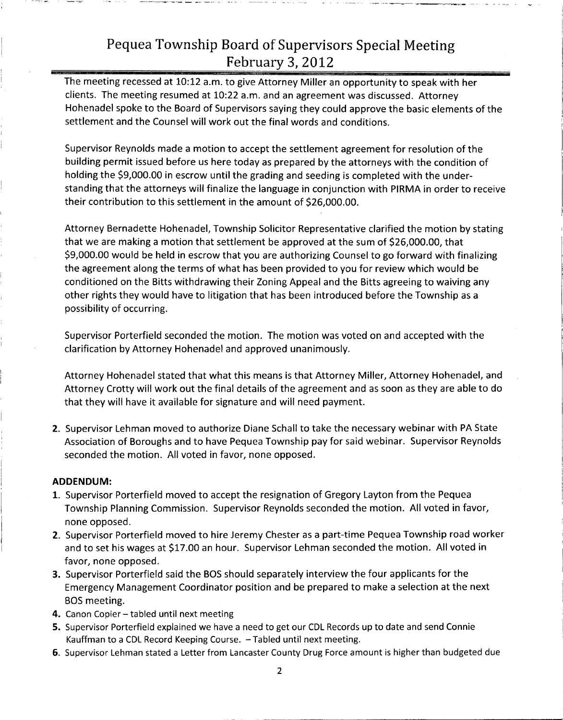## Pequea Township Board of Supervisors Special Meeting February 3, 2012

The meeting recessed at 10:12 a.m. to give Attorney Miller an opportunity to speak with her clients. The meeting resumed at 10:22 a.m. and an agreement was discussed. Attorney Hohenadel spoke to the Board of Supervisors saying they could approve the basic elements of the settlement and the Counsel will work out the final words and conditions.

Supervisor Reynolds made <sup>a</sup> motion to accept the settlement agreement for resolution of the building permit issued before us here today as prepared by the attorneys with the condition of building permit issued before us here today as prepared by the attorneys with the condition<br>holding the \$9,000.00 in escrow until the grading and seeding is completed with the under-<br>standing that the attorneys will finali standing that the attorneys will finalize the language in conjunction with PIRMA in order to receive holding the \$9,000.00 in escrow until the grading and seeding is com<br>standing that the attorneys will finalize the language in conjunction w<br>their contribution to this settlement in the amount of \$26,000.00.

Attorney Bernadette Hohenadel, Township Solicitor Representative clarified the motion by stating Attorney Bernadette Hohenadel, Township Solicitor Representative clarified the motion I<br>that we are making a motion that settlement be approved at the sum of \$26,000.00, that<br>\$9,000,00 would be held in escrow that you are that we are making a motion that settlement be approved at the sum of \$26,000.00, that<br>\$9,000.00 would be held in escrow that you are authorizing Counsel to go forward with finalizing the agreement along the terms of what has been provided to you for review which would be conditioned on the Bitts withdrawing their Zoning Appeal and the Bitts agreeing to waiving any other rights they would have to litigation that has been introduced before the Township as <sup>a</sup> possibility of occurring.

Supervisor Porterfield seconded the motion. The motion was voted on and accepted with the clarification by Attorney Hohenadel and approved unanimously.

Attorney Hohenadel stated that what this means is that Attorney Miller, Attorney Hohenadel, and Attorney Crotty will work out the final details of the agreement and as soon as they are able to do that they will have it available for signature and will need payment.

2. Supervisor Lehman moved to authorize Diane Schall to take the necessary webinar with PA State Association of Boroughs and to have Pequea Township pay for said webinar. Supervisor Reynolds seconded the motion. All voted in favor, none opposed.

## ADDENDUM:

- 1. Supervisor Porterfield moved to accept the resignation of Gregory Layton from the Pequea Township Planning Commission. Supervisor Reynolds seconded the motion. All voted in favor, none opposed.
- 2. Supervisor Porterfield moved to hire Jeremy Chester as <sup>a</sup> part -time Pequea Township road worker and to set his wages at \$17.00 an hour. Supervisor Lehman seconded the motion. All voted in favor, none opposed.
- 3. Supervisor Porterfield said the BOS should separately interview the four applicants for the Emergency Management Coordinator position and be prepared to make <sup>a</sup> selection at the next BOS meeting.
- 4. Canon Copier tabled until next meeting
- 5. Supervisor Porterfield explained we have <sup>a</sup> need to get our CDL Records up to date and send Connie Kauffman to <sup>a</sup> CDL Record Keeping Course. — Tabled until next meeting.
- 6. Supervisor Lehman stated <sup>a</sup> Letter from Lancaster County Drug Force amount is higher than budgeted due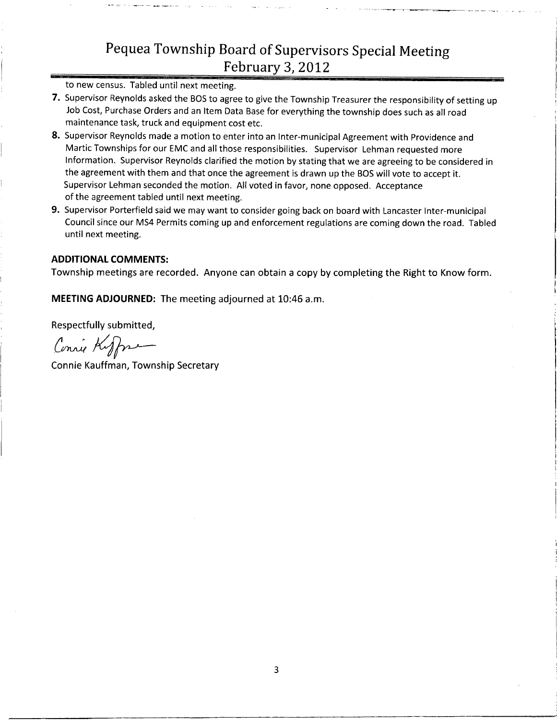# Pequea Township Board of Supervisors Special Meeting February 3, 2012

to new census. Tabled until next meeting.

- 7. Supervisor Reynolds asked the BOS to agree to give the Township Treasurer the responsibility of setting up Job Cost, Purchase Orders and an Item Data Base for everything the township does such as all road maintenance task, truck and equipment cost etc.
- 8. Supervisor Reynolds made a motion to enter into an Inter-municipal Agreement with Providence and Martic Townships for our EMC and all those responsibilities. Supervisor Lehman requested more Information. Supervisor Reynolds clarified the motion by stating that we are agreeing to be considered in the agreement with them and that once the agreement is drawn up the BOS will vote to accept it. Supervisor Lehman seconded the motion. All voted in favor, none opposed. Acceptance of the agreement tabled until next meeting.
- 9. Supervisor Porterfield said we may want to consider going back on board with Lancaster Inter-municipal Council since our MS4 Permits coming up and enforcement regulations are coming down the road. Tabled until next meeting.

### ADDITIONAL COMMENTS:

Township meetings are recorded. Anyone can obtain <sup>a</sup> copy by completing the Right to Know form.

MEETING ADJOURNED: The meeting adjourned at 10:46 a.m.

Respectfully submitted,

Connie Kuffman

Connie Kauffman, Township Secretary